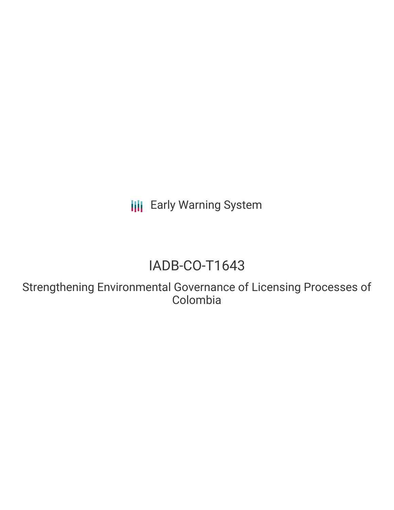**III** Early Warning System

# IADB-CO-T1643

Strengthening Environmental Governance of Licensing Processes of Colombia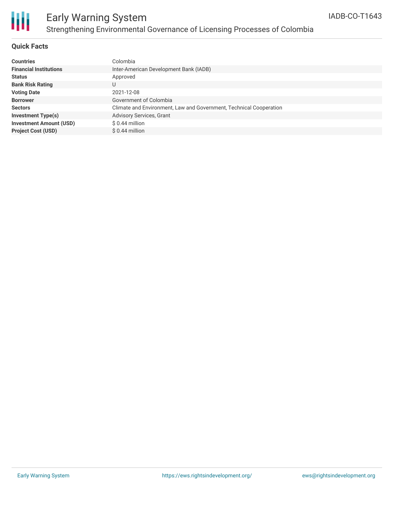

## Early Warning System Strengthening Environmental Governance of Licensing Processes of Colombia

### **Quick Facts**

| <b>Countries</b>               | Colombia                                                           |
|--------------------------------|--------------------------------------------------------------------|
| <b>Financial Institutions</b>  | Inter-American Development Bank (IADB)                             |
| <b>Status</b>                  | Approved                                                           |
| <b>Bank Risk Rating</b>        | U                                                                  |
| <b>Voting Date</b>             | 2021-12-08                                                         |
| <b>Borrower</b>                | Government of Colombia                                             |
| <b>Sectors</b>                 | Climate and Environment, Law and Government, Technical Cooperation |
| <b>Investment Type(s)</b>      | Advisory Services, Grant                                           |
| <b>Investment Amount (USD)</b> | $$0.44$ million                                                    |
| <b>Project Cost (USD)</b>      | $$0.44$ million                                                    |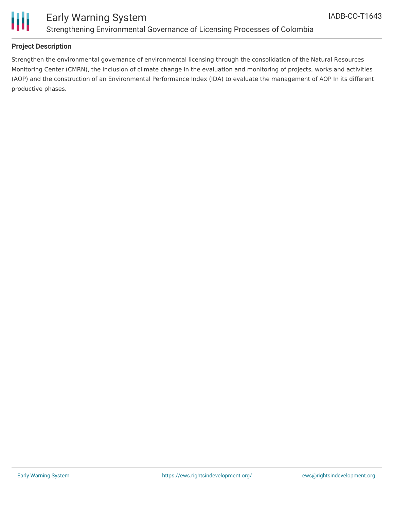

### **Project Description**

Strengthen the environmental governance of environmental licensing through the consolidation of the Natural Resources Monitoring Center (CMRN), the inclusion of climate change in the evaluation and monitoring of projects, works and activities (AOP) and the construction of an Environmental Performance Index (IDA) to evaluate the management of AOP In its different productive phases.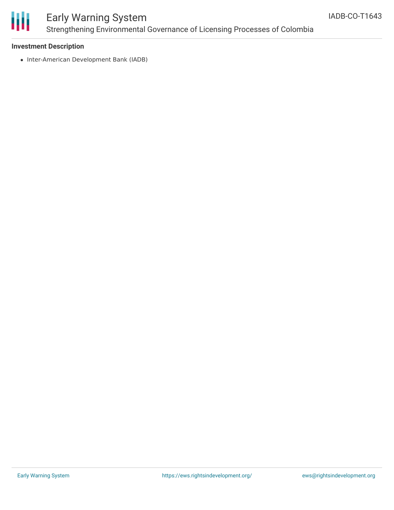

## Early Warning System Strengthening Environmental Governance of Licensing Processes of Colombia

### **Investment Description**

• Inter-American Development Bank (IADB)